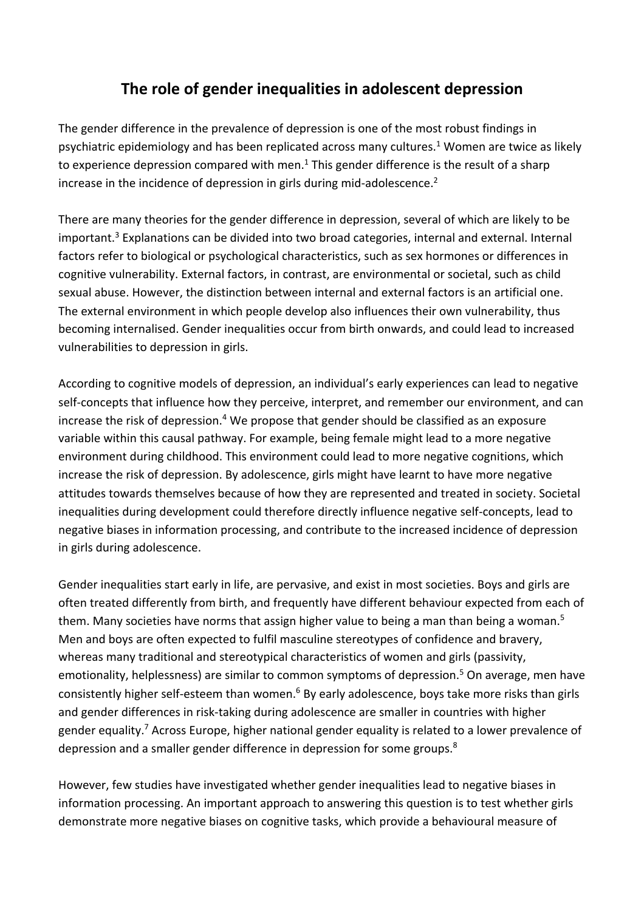## **The role of gender inequalities in adolescent depression**

The gender difference in the prevalence of depression is one of the most robust findings in psychiatric epidemiology and has been replicated across many cultures.<sup>1</sup> Women are twice as likely to experience depression compared with men.<sup>1</sup> This gender difference is the result of a sharp increase in the incidence of depression in girls during mid-adolescence.<sup>2</sup>

There are many theories for the gender difference in depression, several of which are likely to be important. <sup>3</sup> Explanations can be divided into two broad categories, internal and external. Internal factors refer to biological or psychological characteristics, such as sex hormones or differences in cognitive vulnerability. External factors, in contrast, are environmental or societal, such as child sexual abuse. However, the distinction between internal and external factors is an artificial one. The external environment in which people develop also influences their own vulnerability, thus becoming internalised. Gender inequalities occur from birth onwards, and could lead to increased vulnerabilities to depression in girls.

According to cognitive models of depression, an individual's early experiences can lead to negative self-concepts that influence how they perceive, interpret, and remember our environment, and can increase the risk of depression. <sup>4</sup> We propose that gender should be classified as an exposure variable within this causal pathway. For example, being female might lead to a more negative environment during childhood. This environment could lead to more negative cognitions, which increase the risk of depression. By adolescence, girls might have learnt to have more negative attitudes towards themselves because of how they are represented and treated in society. Societal inequalities during development could therefore directly influence negative self-concepts, lead to negative biases in information processing, and contribute to the increased incidence of depression in girls during adolescence.

Gender inequalities start early in life, are pervasive, and exist in most societies. Boys and girls are often treated differently from birth, and frequently have different behaviour expected from each of them. Many societies have norms that assign higher value to being a man than being a woman.<sup>5</sup> Men and boys are often expected to fulfil masculine stereotypes of confidence and bravery, whereas many traditional and stereotypical characteristics of women and girls (passivity, emotionality, helplessness) are similar to common symptoms of depression.<sup>5</sup> On average, men have consistently higher self-esteem than women.6 By early adolescence, boys take more risks than girls and gender differences in risk-taking during adolescence are smaller in countries with higher gender equality.<sup>7</sup> Across Europe, higher national gender equality is related to a lower prevalence of depression and a smaller gender difference in depression for some groups.<sup>8</sup>

However, few studies have investigated whether gender inequalities lead to negative biases in information processing. An important approach to answering this question is to test whether girls demonstrate more negative biases on cognitive tasks, which provide a behavioural measure of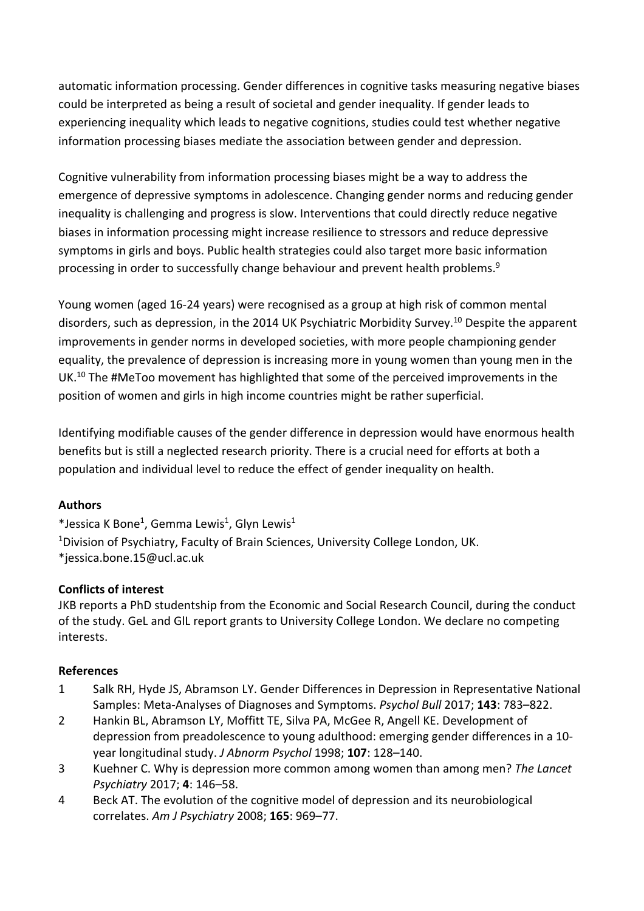automatic information processing. Gender differences in cognitive tasks measuring negative biases could be interpreted as being a result of societal and gender inequality. If gender leads to experiencing inequality which leads to negative cognitions, studies could test whether negative information processing biases mediate the association between gender and depression.

Cognitive vulnerability from information processing biases might be a way to address the emergence of depressive symptoms in adolescence. Changing gender norms and reducing gender inequality is challenging and progress is slow. Interventions that could directly reduce negative biases in information processing might increase resilience to stressors and reduce depressive symptoms in girls and boys. Public health strategies could also target more basic information processing in order to successfully change behaviour and prevent health problems.<sup>9</sup>

Young women (aged 16-24 years) were recognised as a group at high risk of common mental disorders, such as depression, in the 2014 UK Psychiatric Morbidity Survey.<sup>10</sup> Despite the apparent improvements in gender norms in developed societies, with more people championing gender equality, the prevalence of depression is increasing more in young women than young men in the UK.<sup>10</sup> The #MeToo movement has highlighted that some of the perceived improvements in the position of women and girls in high income countries might be rather superficial.

Identifying modifiable causes of the gender difference in depression would have enormous health benefits but is still a neglected research priority. There is a crucial need for efforts at both a population and individual level to reduce the effect of gender inequality on health.

## **Authors**

\*Jessica K Bone<sup>1</sup>, Gemma Lewis<sup>1</sup>, Glyn Lewis<sup>1</sup> <sup>1</sup>Division of Psychiatry, Faculty of Brain Sciences, University College London, UK. \*jessica.bone.15@ucl.ac.uk

## **Conflicts of interest**

JKB reports a PhD studentship from the Economic and Social Research Council, during the conduct of the study. GeL and GlL report grants to University College London. We declare no competing interests.

## **References**

- 1 Salk RH, Hyde JS, Abramson LY. Gender Differences in Depression in Representative National Samples: Meta-Analyses of Diagnoses and Symptoms. *Psychol Bull* 2017; **143**: 783–822.
- 2 Hankin BL, Abramson LY, Moffitt TE, Silva PA, McGee R, Angell KE. Development of depression from preadolescence to young adulthood: emerging gender differences in a 10 year longitudinal study. *J Abnorm Psychol* 1998; **107**: 128–140.
- 3 Kuehner C. Why is depression more common among women than among men? *The Lancet Psychiatry* 2017; **4**: 146–58.
- 4 Beck AT. The evolution of the cognitive model of depression and its neurobiological correlates. *Am J Psychiatry* 2008; **165**: 969–77.